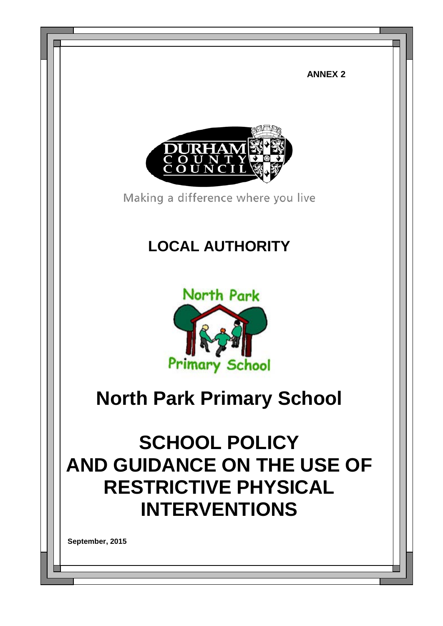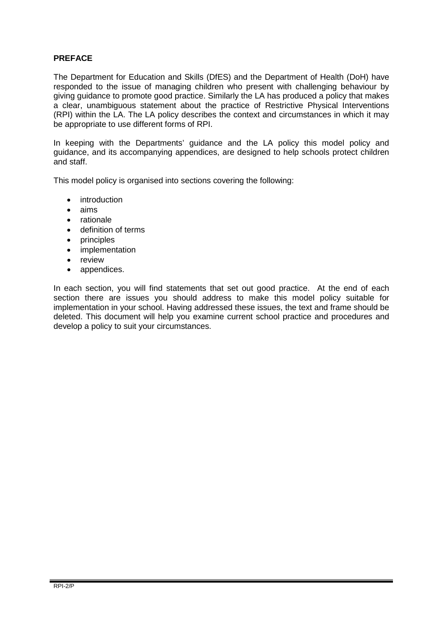# **PREFACE**

The Department for Education and Skills (DfES) and the Department of Health (DoH) have responded to the issue of managing children who present with challenging behaviour by giving guidance to promote good practice. Similarly the LA has produced a policy that makes a clear, unambiguous statement about the practice of Restrictive Physical Interventions (RPI) within the LA. The LA policy describes the context and circumstances in which it may be appropriate to use different forms of RPI.

In keeping with the Departments' guidance and the LA policy this model policy and guidance, and its accompanying appendices, are designed to help schools protect children and staff.

This model policy is organised into sections covering the following:

- introduction
- aims
- rationale
- definition of terms
- principles
- implementation
- review
- appendices.

In each section, you will find statements that set out good practice. At the end of each section there are issues you should address to make this model policy suitable for implementation in your school. Having addressed these issues, the text and frame should be deleted. This document will help you examine current school practice and procedures and develop a policy to suit your circumstances.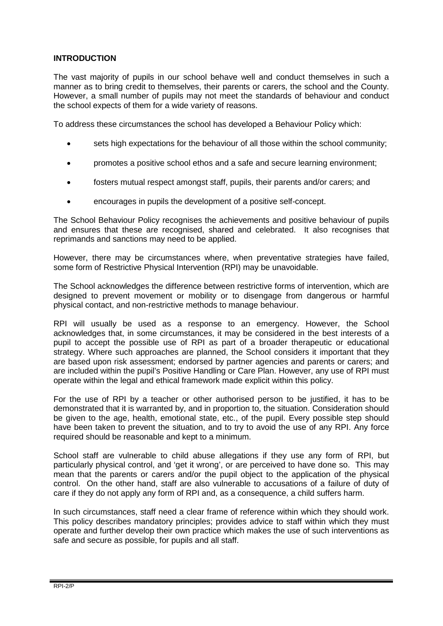# **INTRODUCTION**

The vast majority of pupils in our school behave well and conduct themselves in such a manner as to bring credit to themselves, their parents or carers, the school and the County. However, a small number of pupils may not meet the standards of behaviour and conduct the school expects of them for a wide variety of reasons.

To address these circumstances the school has developed a Behaviour Policy which:

- sets high expectations for the behaviour of all those within the school community;
- promotes a positive school ethos and a safe and secure learning environment;
- fosters mutual respect amongst staff, pupils, their parents and/or carers; and
- encourages in pupils the development of a positive self-concept.

The School Behaviour Policy recognises the achievements and positive behaviour of pupils and ensures that these are recognised, shared and celebrated. It also recognises that reprimands and sanctions may need to be applied.

However, there may be circumstances where, when preventative strategies have failed, some form of Restrictive Physical Intervention (RPI) may be unavoidable.

The School acknowledges the difference between restrictive forms of intervention, which are designed to prevent movement or mobility or to disengage from dangerous or harmful physical contact, and non-restrictive methods to manage behaviour.

RPI will usually be used as a response to an emergency. However, the School acknowledges that, in some circumstances, it may be considered in the best interests of a pupil to accept the possible use of RPI as part of a broader therapeutic or educational strategy. Where such approaches are planned, the School considers it important that they are based upon risk assessment; endorsed by partner agencies and parents or carers; and are included within the pupil's Positive Handling or Care Plan. However, any use of RPI must operate within the legal and ethical framework made explicit within this policy.

For the use of RPI by a teacher or other authorised person to be justified, it has to be demonstrated that it is warranted by, and in proportion to, the situation. Consideration should be given to the age, health, emotional state, etc., of the pupil. Every possible step should have been taken to prevent the situation, and to try to avoid the use of any RPI. Any force required should be reasonable and kept to a minimum.

School staff are vulnerable to child abuse allegations if they use any form of RPI, but particularly physical control, and 'get it wrong', or are perceived to have done so. This may mean that the parents or carers and/or the pupil object to the application of the physical control. On the other hand, staff are also vulnerable to accusations of a failure of duty of care if they do not apply any form of RPI and, as a consequence, a child suffers harm.

In such circumstances, staff need a clear frame of reference within which they should work. This policy describes mandatory principles; provides advice to staff within which they must operate and further develop their own practice which makes the use of such interventions as safe and secure as possible, for pupils and all staff.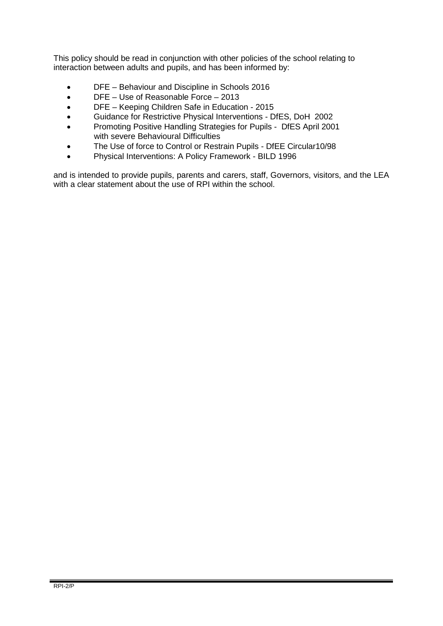This policy should be read in conjunction with other policies of the school relating to interaction between adults and pupils, and has been informed by:

- DFE Behaviour and Discipline in Schools 2016
- DFE Use of Reasonable Force 2013
- DFE Keeping Children Safe in Education 2015
- Guidance for Restrictive Physical Interventions DfES, DoH 2002
- Promoting Positive Handling Strategies for Pupils DfES April 2001 with severe Behavioural Difficulties
- The Use of force to Control or Restrain Pupils DfEE Circular10/98
- Physical Interventions: A Policy Framework BILD 1996

and is intended to provide pupils, parents and carers, staff, Governors, visitors, and the LEA with a clear statement about the use of RPI within the school.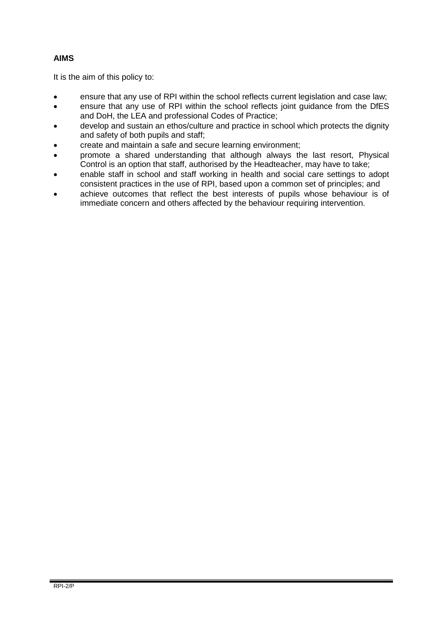# **AIMS**

It is the aim of this policy to:

- ensure that any use of RPI within the school reflects current legislation and case law;
- ensure that any use of RPI within the school reflects joint guidance from the DfES and DoH, the LEA and professional Codes of Practice;
- develop and sustain an ethos/culture and practice in school which protects the dignity and safety of both pupils and staff;
- create and maintain a safe and secure learning environment;
- promote a shared understanding that although always the last resort, Physical Control is an option that staff, authorised by the Headteacher, may have to take;
- enable staff in school and staff working in health and social care settings to adopt consistent practices in the use of RPI, based upon a common set of principles; and
- achieve outcomes that reflect the best interests of pupils whose behaviour is of immediate concern and others affected by the behaviour requiring intervention.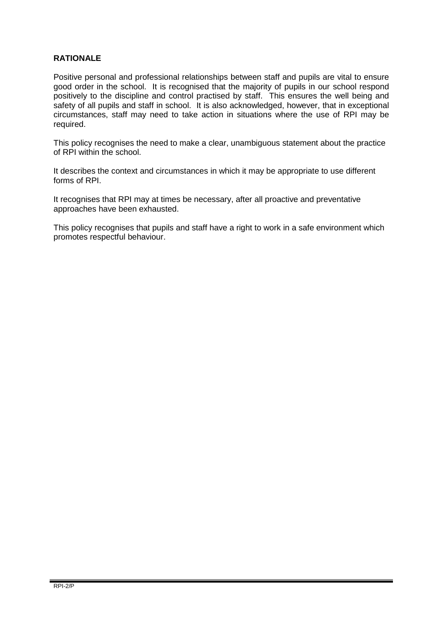# **RATIONALE**

Positive personal and professional relationships between staff and pupils are vital to ensure good order in the school. It is recognised that the majority of pupils in our school respond positively to the discipline and control practised by staff. This ensures the well being and safety of all pupils and staff in school. It is also acknowledged, however, that in exceptional circumstances, staff may need to take action in situations where the use of RPI may be required.

This policy recognises the need to make a clear, unambiguous statement about the practice of RPI within the school.

It describes the context and circumstances in which it may be appropriate to use different forms of RPI.

It recognises that RPI may at times be necessary, after all proactive and preventative approaches have been exhausted.

This policy recognises that pupils and staff have a right to work in a safe environment which promotes respectful behaviour.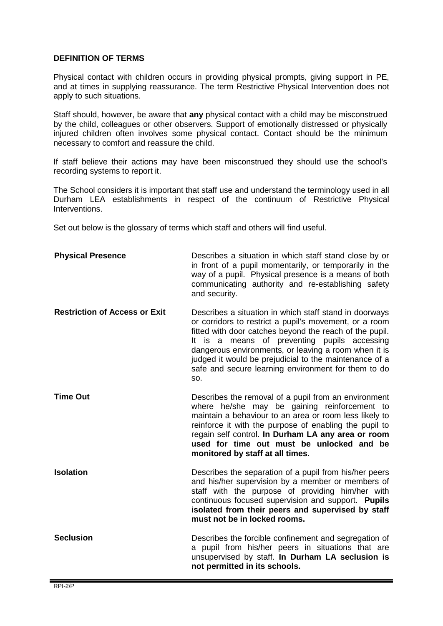## **DEFINITION OF TERMS**

Physical contact with children occurs in providing physical prompts, giving support in PE, and at times in supplying reassurance. The term Restrictive Physical Intervention does not apply to such situations.

Staff should, however, be aware that **any** physical contact with a child may be misconstrued by the child, colleagues or other observers. Support of emotionally distressed or physically injured children often involves some physical contact. Contact should be the minimum necessary to comfort and reassure the child.

If staff believe their actions may have been misconstrued they should use the school's recording systems to report it.

The School considers it is important that staff use and understand the terminology used in all Durham LEA establishments in respect of the continuum of Restrictive Physical Interventions.

Set out below is the glossary of terms which staff and others will find useful.

| <b>Physical Presence</b>             | Describes a situation in which staff stand close by or<br>in front of a pupil momentarily, or temporarily in the<br>way of a pupil. Physical presence is a means of both<br>communicating authority and re-establishing safety<br>and security.                                                                                                                                                                |
|--------------------------------------|----------------------------------------------------------------------------------------------------------------------------------------------------------------------------------------------------------------------------------------------------------------------------------------------------------------------------------------------------------------------------------------------------------------|
| <b>Restriction of Access or Exit</b> | Describes a situation in which staff stand in doorways<br>or corridors to restrict a pupil's movement, or a room<br>fitted with door catches beyond the reach of the pupil.<br>is a means of preventing pupils accessing<br>It<br>dangerous environments, or leaving a room when it is<br>judged it would be prejudicial to the maintenance of a<br>safe and secure learning environment for them to do<br>SO. |
| <b>Time Out</b>                      | Describes the removal of a pupil from an environment<br>where he/she may be gaining reinforcement to<br>maintain a behaviour to an area or room less likely to<br>reinforce it with the purpose of enabling the pupil to<br>regain self control. In Durham LA any area or room<br>used for time out must be unlocked and be<br>monitored by staff at all times.                                                |
| <b>Isolation</b>                     | Describes the separation of a pupil from his/her peers<br>and his/her supervision by a member or members of<br>staff with the purpose of providing him/her with<br>continuous focused supervision and support. Pupils<br>isolated from their peers and supervised by staff<br>must not be in locked rooms.                                                                                                     |
| <b>Seclusion</b>                     | Describes the forcible confinement and segregation of<br>a pupil from his/her peers in situations that are<br>unsupervised by staff. In Durham LA seclusion is<br>not permitted in its schools.                                                                                                                                                                                                                |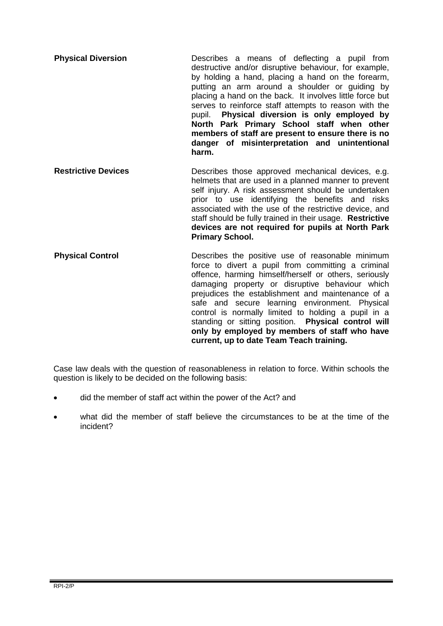- **Physical Diversion Describes** a means of deflecting a pupil from destructive and/or disruptive behaviour, for example, by holding a hand, placing a hand on the forearm, putting an arm around a shoulder or guiding by placing a hand on the back. It involves little force but serves to reinforce staff attempts to reason with the pupil. **Physical diversion is only employed by North Park Primary School staff when other members of staff are present to ensure there is no danger of misinterpretation and unintentional harm.**
- **Restrictive Devices Describes** those approved mechanical devices, e.g. helmets that are used in a planned manner to prevent self injury. A risk assessment should be undertaken prior to use identifying the benefits and risks associated with the use of the restrictive device, and staff should be fully trained in their usage. **Restrictive devices are not required for pupils at North Park Primary School.**
- **Physical Control Describes** the positive use of reasonable minimum force to divert a pupil from committing a criminal offence, harming himself/herself or others, seriously damaging property or disruptive behaviour which prejudices the establishment and maintenance of a safe and secure learning environment. Physical control is normally limited to holding a pupil in a standing or sitting position. **Physical control will only by employed by members of staff who have current, up to date Team Teach training.**

Case law deals with the question of reasonableness in relation to force. Within schools the question is likely to be decided on the following basis:

- did the member of staff act within the power of the Act? and
- what did the member of staff believe the circumstances to be at the time of the incident?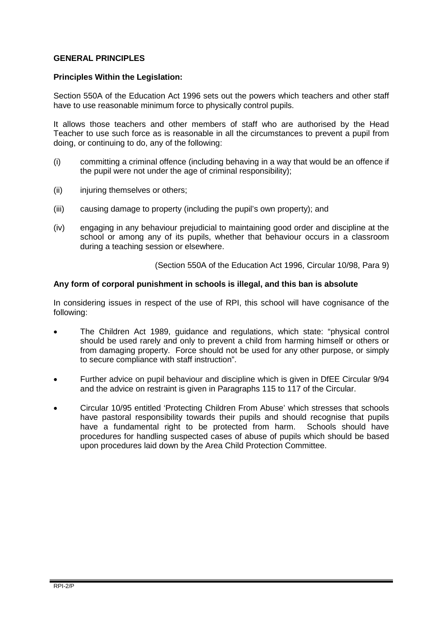# **GENERAL PRINCIPLES**

#### **Principles Within the Legislation:**

Section 550A of the Education Act 1996 sets out the powers which teachers and other staff have to use reasonable minimum force to physically control pupils.

It allows those teachers and other members of staff who are authorised by the Head Teacher to use such force as is reasonable in all the circumstances to prevent a pupil from doing, or continuing to do, any of the following:

- (i) committing a criminal offence (including behaving in a way that would be an offence if the pupil were not under the age of criminal responsibility);
- (ii) injuring themselves or others;
- (iii) causing damage to property (including the pupil's own property); and
- (iv) engaging in any behaviour prejudicial to maintaining good order and discipline at the school or among any of its pupils, whether that behaviour occurs in a classroom during a teaching session or elsewhere.

(Section 550A of the Education Act 1996, Circular 10/98, Para 9)

## **Any form of corporal punishment in schools is illegal, and this ban is absolute**

In considering issues in respect of the use of RPI, this school will have cognisance of the following:

- The Children Act 1989, guidance and regulations, which state: "physical control should be used rarely and only to prevent a child from harming himself or others or from damaging property. Force should not be used for any other purpose, or simply to secure compliance with staff instruction".
- Further advice on pupil behaviour and discipline which is given in DfEE Circular 9/94 and the advice on restraint is given in Paragraphs 115 to 117 of the Circular.
- Circular 10/95 entitled 'Protecting Children From Abuse' which stresses that schools have pastoral responsibility towards their pupils and should recognise that pupils have a fundamental right to be protected from harm. Schools should have procedures for handling suspected cases of abuse of pupils which should be based upon procedures laid down by the Area Child Protection Committee.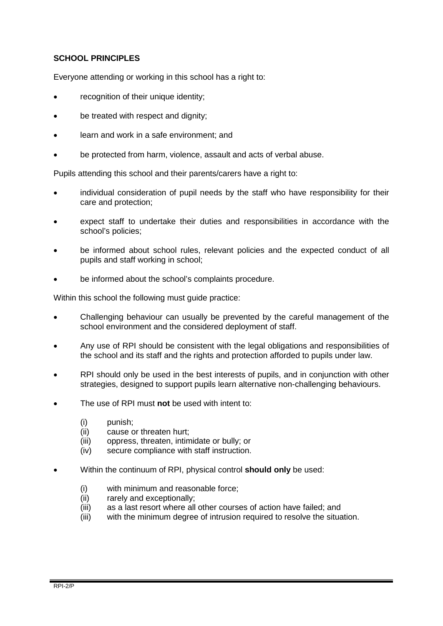# **SCHOOL PRINCIPLES**

Everyone attending or working in this school has a right to:

- recognition of their unique identity;
- be treated with respect and dignity;
- learn and work in a safe environment; and
- be protected from harm, violence, assault and acts of verbal abuse.

Pupils attending this school and their parents/carers have a right to:

- individual consideration of pupil needs by the staff who have responsibility for their care and protection;
- expect staff to undertake their duties and responsibilities in accordance with the school's policies;
- be informed about school rules, relevant policies and the expected conduct of all pupils and staff working in school;
- be informed about the school's complaints procedure.

Within this school the following must guide practice:

- Challenging behaviour can usually be prevented by the careful management of the school environment and the considered deployment of staff.
- Any use of RPI should be consistent with the legal obligations and responsibilities of the school and its staff and the rights and protection afforded to pupils under law.
- RPI should only be used in the best interests of pupils, and in conjunction with other strategies, designed to support pupils learn alternative non-challenging behaviours.
- The use of RPI must **not** be used with intent to:
	- (i) punish;
	- (ii) cause or threaten hurt;
	- (iii) oppress, threaten, intimidate or bully; or
	- (iv) secure compliance with staff instruction.
- Within the continuum of RPI, physical control **should only** be used:
	- (i) with minimum and reasonable force;
	- (ii) rarely and exceptionally;
	- (iii) as a last resort where all other courses of action have failed; and
	- (iii) with the minimum degree of intrusion required to resolve the situation.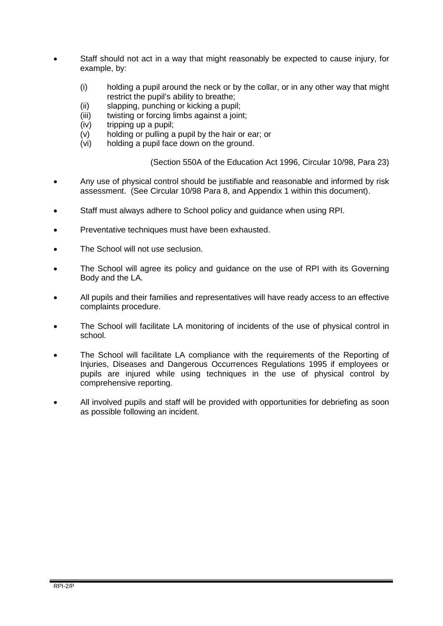- Staff should not act in a way that might reasonably be expected to cause injury, for example, by:
	- (i) holding a pupil around the neck or by the collar, or in any other way that might restrict the pupil's ability to breathe;
	- (ii) slapping, punching or kicking a pupil;
	- (iii) twisting or forcing limbs against a joint;
	- (iv) tripping up a pupil;
	- (v) holding or pulling a pupil by the hair or ear; or
	- (vi) holding a pupil face down on the ground.

(Section 550A of the Education Act 1996, Circular 10/98, Para 23)

- Any use of physical control should be justifiable and reasonable and informed by risk assessment. (See Circular 10/98 Para 8, and Appendix 1 within this document).
- Staff must always adhere to School policy and guidance when using RPI.
- Preventative techniques must have been exhausted.
- The School will not use seclusion.
- The School will agree its policy and guidance on the use of RPI with its Governing Body and the LA.
- All pupils and their families and representatives will have ready access to an effective complaints procedure.
- The School will facilitate LA monitoring of incidents of the use of physical control in school.
- The School will facilitate LA compliance with the requirements of the Reporting of Injuries, Diseases and Dangerous Occurrences Regulations 1995 if employees or pupils are injured while using techniques in the use of physical control by comprehensive reporting.
- All involved pupils and staff will be provided with opportunities for debriefing as soon as possible following an incident.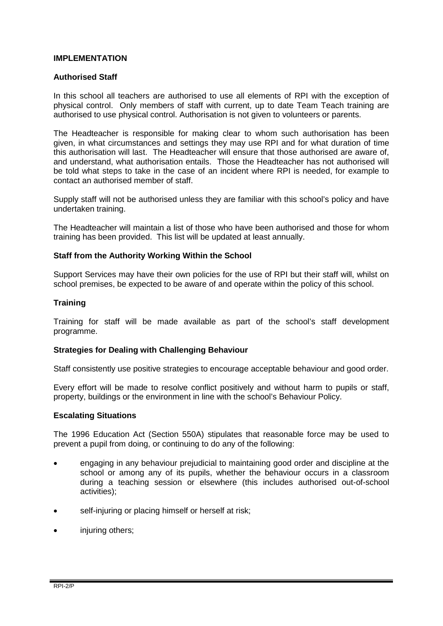## **IMPLEMENTATION**

## **Authorised Staff**

In this school all teachers are authorised to use all elements of RPI with the exception of physical control. Only members of staff with current, up to date Team Teach training are authorised to use physical control. Authorisation is not given to volunteers or parents.

The Headteacher is responsible for making clear to whom such authorisation has been given, in what circumstances and settings they may use RPI and for what duration of time this authorisation will last. The Headteacher will ensure that those authorised are aware of, and understand, what authorisation entails. Those the Headteacher has not authorised will be told what steps to take in the case of an incident where RPI is needed, for example to contact an authorised member of staff.

Supply staff will not be authorised unless they are familiar with this school's policy and have undertaken training.

The Headteacher will maintain a list of those who have been authorised and those for whom training has been provided. This list will be updated at least annually.

#### **Staff from the Authority Working Within the School**

Support Services may have their own policies for the use of RPI but their staff will, whilst on school premises, be expected to be aware of and operate within the policy of this school.

## **Training**

Training for staff will be made available as part of the school's staff development programme.

#### **Strategies for Dealing with Challenging Behaviour**

Staff consistently use positive strategies to encourage acceptable behaviour and good order.

Every effort will be made to resolve conflict positively and without harm to pupils or staff, property, buildings or the environment in line with the school's Behaviour Policy.

#### **Escalating Situations**

The 1996 Education Act (Section 550A) stipulates that reasonable force may be used to prevent a pupil from doing, or continuing to do any of the following:

- engaging in any behaviour prejudicial to maintaining good order and discipline at the school or among any of its pupils, whether the behaviour occurs in a classroom during a teaching session or elsewhere (this includes authorised out-of-school activities);
- self-injuring or placing himself or herself at risk;
- injuring others;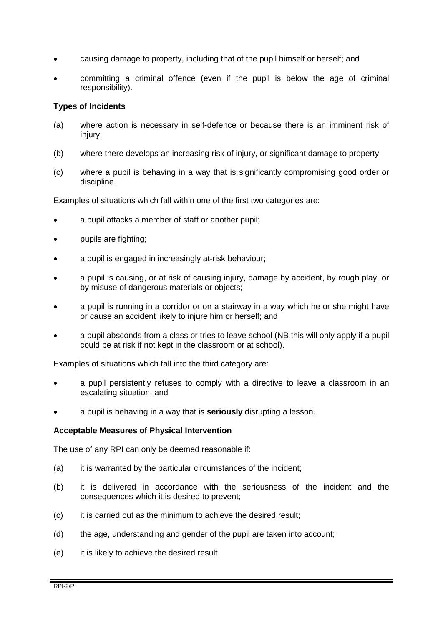- causing damage to property, including that of the pupil himself or herself; and
- committing a criminal offence (even if the pupil is below the age of criminal responsibility).

## **Types of Incidents**

- (a) where action is necessary in self-defence or because there is an imminent risk of injury;
- (b) where there develops an increasing risk of injury, or significant damage to property;
- (c) where a pupil is behaving in a way that is significantly compromising good order or discipline.

Examples of situations which fall within one of the first two categories are:

- a pupil attacks a member of staff or another pupil;
- pupils are fighting;
- a pupil is engaged in increasingly at-risk behaviour;
- a pupil is causing, or at risk of causing injury, damage by accident, by rough play, or by misuse of dangerous materials or objects;
- a pupil is running in a corridor or on a stairway in a way which he or she might have or cause an accident likely to injure him or herself; and
- a pupil absconds from a class or tries to leave school (NB this will only apply if a pupil could be at risk if not kept in the classroom or at school).

Examples of situations which fall into the third category are:

- a pupil persistently refuses to comply with a directive to leave a classroom in an escalating situation; and
- a pupil is behaving in a way that is **seriously** disrupting a lesson.

#### **Acceptable Measures of Physical Intervention**

The use of any RPI can only be deemed reasonable if:

- (a) it is warranted by the particular circumstances of the incident;
- (b) it is delivered in accordance with the seriousness of the incident and the consequences which it is desired to prevent;
- (c) it is carried out as the minimum to achieve the desired result;
- (d) the age, understanding and gender of the pupil are taken into account;
- (e) it is likely to achieve the desired result.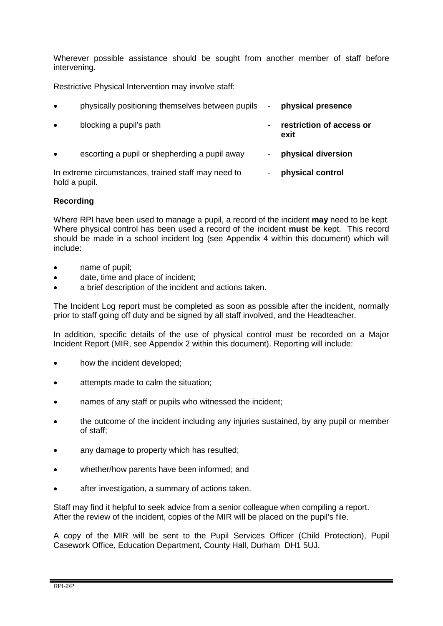Wherever possible assistance should be sought from another member of staff before intervening.

Restrictive Physical Intervention may involve staff:

| $\bullet$     | physically positioning themselves between pupils    | $\blacksquare$           | physical presence                |
|---------------|-----------------------------------------------------|--------------------------|----------------------------------|
| $\bullet$     | blocking a pupil's path                             | -                        | restriction of access or<br>exit |
| $\bullet$     | escorting a pupil or shepherding a pupil away       | $\overline{\phantom{a}}$ | physical diversion               |
| hold a pupil. | In extreme circumstances, trained staff may need to | -                        | physical control                 |

# **Recording**

Where RPI have been used to manage a pupil, a record of the incident **may** need to be kept. Where physical control has been used a record of the incident **must** be kept. This record should be made in a school incident log (see Appendix 4 within this document) which will include:

- name of pupil;
- date, time and place of incident;
- a brief description of the incident and actions taken.

The Incident Log report must be completed as soon as possible after the incident, normally prior to staff going off duty and be signed by all staff involved, and the Headteacher.

In addition, specific details of the use of physical control must be recorded on a Major Incident Report (MIR, see Appendix 2 within this document). Reporting will include:

- how the incident developed;
- attempts made to calm the situation;
- names of any staff or pupils who witnessed the incident;
- the outcome of the incident including any injuries sustained, by any pupil or member of staff;
- any damage to property which has resulted;
- whether/how parents have been informed; and
- after investigation, a summary of actions taken.

Staff may find it helpful to seek advice from a senior colleague when compiling a report. After the review of the incident, copies of the MIR will be placed on the pupil's file.

A copy of the MIR will be sent to the Pupil Services Officer (Child Protection), Pupil Casework Office, Education Department, County Hall, Durham DH1 5UJ.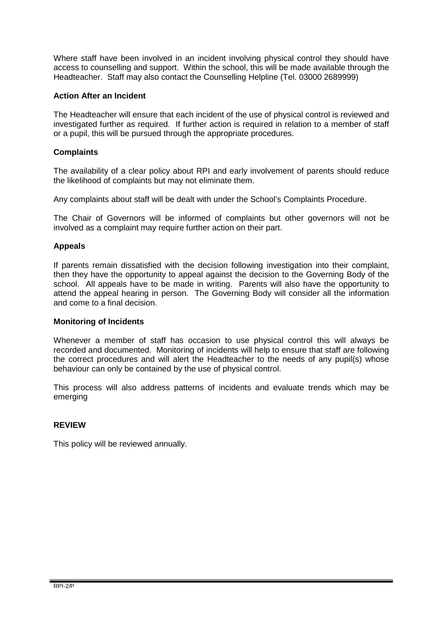Where staff have been involved in an incident involving physical control they should have access to counselling and support. Within the school, this will be made available through the Headteacher. Staff may also contact the Counselling Helpline (Tel. 03000 2689999)

# **Action After an Incident**

The Headteacher will ensure that each incident of the use of physical control is reviewed and investigated further as required. If further action is required in relation to a member of staff or a pupil, this will be pursued through the appropriate procedures.

# **Complaints**

The availability of a clear policy about RPI and early involvement of parents should reduce the likelihood of complaints but may not eliminate them.

Any complaints about staff will be dealt with under the School's Complaints Procedure.

The Chair of Governors will be informed of complaints but other governors will not be involved as a complaint may require further action on their part.

# **Appeals**

If parents remain dissatisfied with the decision following investigation into their complaint, then they have the opportunity to appeal against the decision to the Governing Body of the school. All appeals have to be made in writing. Parents will also have the opportunity to attend the appeal hearing in person. The Governing Body will consider all the information and come to a final decision.

# **Monitoring of Incidents**

Whenever a member of staff has occasion to use physical control this will always be recorded and documented. Monitoring of incidents will help to ensure that staff are following the correct procedures and will alert the Headteacher to the needs of any pupil(s) whose behaviour can only be contained by the use of physical control.

This process will also address patterns of incidents and evaluate trends which may be emerging

# **REVIEW**

This policy will be reviewed annually.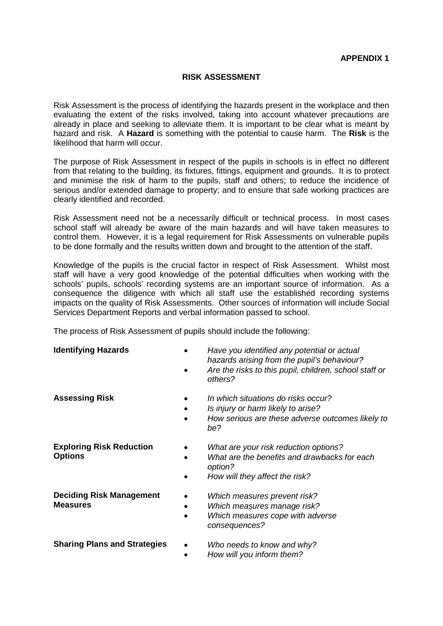# **RISK ASSESSMENT**

Risk Assessment is the process of identifying the hazards present in the workplace and then evaluating the extent of the risks involved, taking into account whatever precautions are already in place and seeking to alleviate them. It is important to be clear what is meant by hazard and risk. A **Hazard** is something with the potential to cause harm. The **Risk** is the likelihood that harm will occur.

The purpose of Risk Assessment in respect of the pupils in schools is in effect no different from that relating to the building, its fixtures, fittings, equipment and grounds. It is to protect and minimise the risk of harm to the pupils, staff and others; to reduce the incidence of serious and/or extended damage to property; and to ensure that safe working practices are clearly identified and recorded.

Risk Assessment need not be a necessarily difficult or technical process. In most cases school staff will already be aware of the main hazards and will have taken measures to control them. However, it is a legal requirement for Risk Assessments on vulnerable pupils to be done formally and the results written down and brought to the attention of the staff.

Knowledge of the pupils is the crucial factor in respect of Risk Assessment. Whilst most staff will have a very good knowledge of the potential difficulties when working with the schools' pupils, schools' recording systems are an important source of information. As a consequence the diligence with which all staff use the established recording systems impacts on the quality of Risk Assessments. Other sources of information will include Social Services Department Reports and verbal information passed to school.

The process of Risk Assessment of pupils should include the following:

| <b>Identifying Hazards</b>                         | Have you identified any potential or actual<br>hazards arising from the pupil's behaviour?<br>Are the risks to this pupil, children, school staff or<br>others? |
|----------------------------------------------------|-----------------------------------------------------------------------------------------------------------------------------------------------------------------|
| <b>Assessing Risk</b>                              | In which situations do risks occur?<br>Is injury or harm likely to arise?<br>How serious are these adverse outcomes likely to<br>be?                            |
| <b>Exploring Risk Reduction</b><br><b>Options</b>  | What are your risk reduction options?<br>What are the benefits and drawbacks for each<br>option?<br>How will they affect the risk?                              |
| <b>Deciding Risk Management</b><br><b>Measures</b> | Which measures prevent risk?<br>Which measures manage risk?<br>Which measures cope with adverse<br>consequences?                                                |
| <b>Sharing Plans and Strategies</b>                | Who needs to know and why?<br>How will you inform them?                                                                                                         |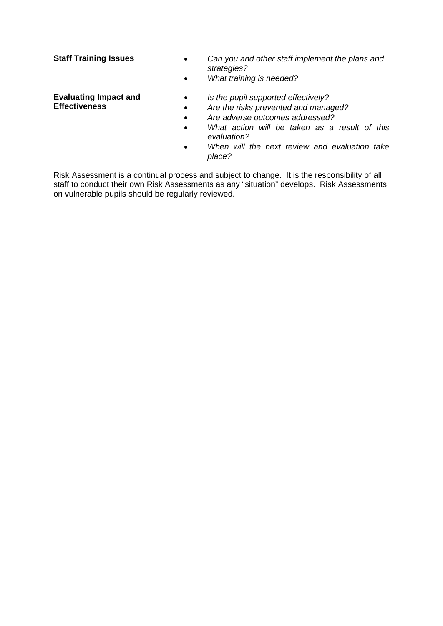- **Staff Training Issues** *Can you and other staff implement the plans and strategies?*
	- *What training is needed?*

## **Evaluating Impact and Effectiveness**

- *Is the pupil supported effectively?*
- *Are the risks prevented and managed?*
- *Are adverse outcomes addressed?*
- *What action will be taken as a result of this evaluation?*
- *When will the next review and evaluation take place?*

Risk Assessment is a continual process and subject to change. It is the responsibility of all staff to conduct their own Risk Assessments as any "situation" develops. Risk Assessments on vulnerable pupils should be regularly reviewed.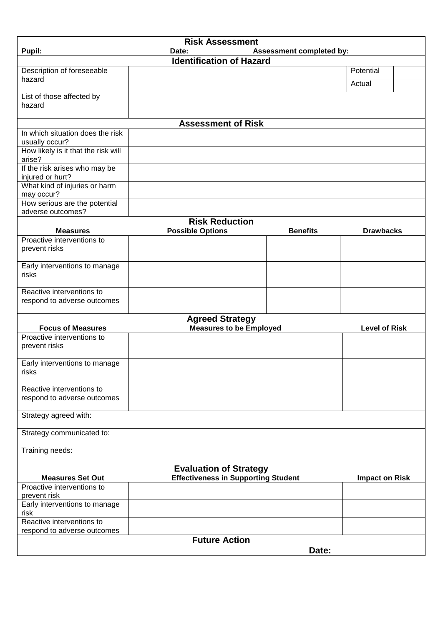| <b>Risk Assessment</b><br>Pupil:<br>Assessment completed by:<br>Date: |                                            |                 |                       |  |
|-----------------------------------------------------------------------|--------------------------------------------|-----------------|-----------------------|--|
|                                                                       | <b>Identification of Hazard</b>            |                 |                       |  |
| Description of foreseeable                                            |                                            |                 | Potential             |  |
| hazard                                                                |                                            |                 | Actual                |  |
|                                                                       |                                            |                 |                       |  |
| List of those affected by<br>hazard                                   |                                            |                 |                       |  |
|                                                                       |                                            |                 |                       |  |
|                                                                       | <b>Assessment of Risk</b>                  |                 |                       |  |
| In which situation does the risk                                      |                                            |                 |                       |  |
| usually occur?<br>How likely is it that the risk will                 |                                            |                 |                       |  |
| arise?                                                                |                                            |                 |                       |  |
| If the risk arises who may be                                         |                                            |                 |                       |  |
| injured or hurt?                                                      |                                            |                 |                       |  |
| What kind of injuries or harm<br>may occur?                           |                                            |                 |                       |  |
| How serious are the potential                                         |                                            |                 |                       |  |
| adverse outcomes?                                                     |                                            |                 |                       |  |
|                                                                       | <b>Risk Reduction</b>                      |                 |                       |  |
| <b>Measures</b>                                                       | <b>Possible Options</b>                    | <b>Benefits</b> | <b>Drawbacks</b>      |  |
| Proactive interventions to<br>prevent risks                           |                                            |                 |                       |  |
|                                                                       |                                            |                 |                       |  |
| Early interventions to manage                                         |                                            |                 |                       |  |
| risks                                                                 |                                            |                 |                       |  |
| Reactive interventions to                                             |                                            |                 |                       |  |
| respond to adverse outcomes                                           |                                            |                 |                       |  |
|                                                                       |                                            |                 |                       |  |
|                                                                       | <b>Agreed Strategy</b>                     |                 |                       |  |
| <b>Focus of Measures</b><br>Proactive interventions to                | <b>Measures to be Employed</b>             |                 | <b>Level of Risk</b>  |  |
| prevent risks                                                         |                                            |                 |                       |  |
|                                                                       |                                            |                 |                       |  |
| Early interventions to manage                                         |                                            |                 |                       |  |
| risks                                                                 |                                            |                 |                       |  |
| Reactive interventions to                                             |                                            |                 |                       |  |
| respond to adverse outcomes                                           |                                            |                 |                       |  |
|                                                                       |                                            |                 |                       |  |
| Strategy agreed with:                                                 |                                            |                 |                       |  |
| Strategy communicated to:                                             |                                            |                 |                       |  |
|                                                                       |                                            |                 |                       |  |
| Training needs:                                                       |                                            |                 |                       |  |
| <b>Evaluation of Strategy</b>                                         |                                            |                 |                       |  |
| <b>Measures Set Out</b>                                               | <b>Effectiveness in Supporting Student</b> |                 | <b>Impact on Risk</b> |  |
| Proactive interventions to                                            |                                            |                 |                       |  |
| prevent risk                                                          |                                            |                 |                       |  |
| Early interventions to manage<br>risk                                 |                                            |                 |                       |  |
| Reactive interventions to                                             |                                            |                 |                       |  |
| respond to adverse outcomes                                           |                                            |                 |                       |  |
|                                                                       | <b>Future Action</b>                       |                 |                       |  |
|                                                                       |                                            | Date:           |                       |  |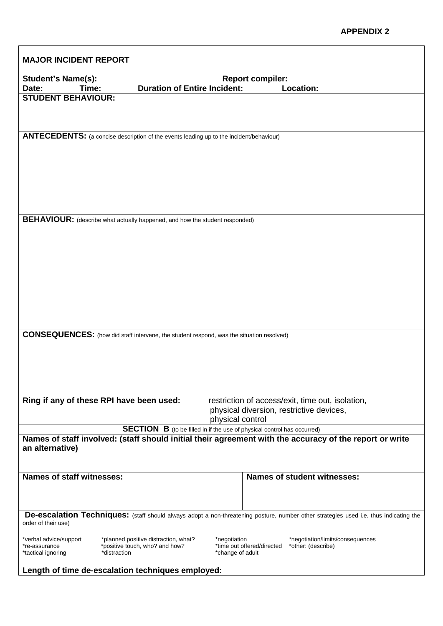| <b>MAJOR INCIDENT REPORT</b>                                                                                                                                        |                                                                                                 |                                                                                |  |  |
|---------------------------------------------------------------------------------------------------------------------------------------------------------------------|-------------------------------------------------------------------------------------------------|--------------------------------------------------------------------------------|--|--|
| <b>Student's Name(s):</b><br>Time:<br>Date:                                                                                                                         | <b>Duration of Entire Incident:</b>                                                             | <b>Report compiler:</b><br>Location:                                           |  |  |
| <b>STUDENT BEHAVIOUR:</b>                                                                                                                                           |                                                                                                 |                                                                                |  |  |
|                                                                                                                                                                     |                                                                                                 |                                                                                |  |  |
|                                                                                                                                                                     |                                                                                                 |                                                                                |  |  |
|                                                                                                                                                                     | ANTECEDENTS: (a concise description of the events leading up to the incident/behaviour)         |                                                                                |  |  |
|                                                                                                                                                                     |                                                                                                 |                                                                                |  |  |
|                                                                                                                                                                     |                                                                                                 |                                                                                |  |  |
|                                                                                                                                                                     |                                                                                                 |                                                                                |  |  |
|                                                                                                                                                                     |                                                                                                 |                                                                                |  |  |
|                                                                                                                                                                     |                                                                                                 |                                                                                |  |  |
|                                                                                                                                                                     | BEHAVIOUR: (describe what actually happened, and how the student responded)                     |                                                                                |  |  |
|                                                                                                                                                                     |                                                                                                 |                                                                                |  |  |
|                                                                                                                                                                     |                                                                                                 |                                                                                |  |  |
|                                                                                                                                                                     |                                                                                                 |                                                                                |  |  |
|                                                                                                                                                                     |                                                                                                 |                                                                                |  |  |
|                                                                                                                                                                     |                                                                                                 |                                                                                |  |  |
|                                                                                                                                                                     |                                                                                                 |                                                                                |  |  |
|                                                                                                                                                                     |                                                                                                 |                                                                                |  |  |
|                                                                                                                                                                     | <b>CONSEQUENCES:</b> (how did staff intervene, the student respond, was the situation resolved) |                                                                                |  |  |
|                                                                                                                                                                     |                                                                                                 |                                                                                |  |  |
|                                                                                                                                                                     |                                                                                                 |                                                                                |  |  |
|                                                                                                                                                                     |                                                                                                 |                                                                                |  |  |
|                                                                                                                                                                     |                                                                                                 |                                                                                |  |  |
|                                                                                                                                                                     | Ring if any of these RPI have been used:                                                        | restriction of access/exit, time out, isolation,                               |  |  |
|                                                                                                                                                                     |                                                                                                 | physical diversion, restrictive devices,<br>physical control                   |  |  |
|                                                                                                                                                                     |                                                                                                 | <b>SECTION B</b> (to be filled in if the use of physical control has occurred) |  |  |
| Names of staff involved: (staff should initial their agreement with the accuracy of the report or write<br>an alternative)                                          |                                                                                                 |                                                                                |  |  |
|                                                                                                                                                                     |                                                                                                 |                                                                                |  |  |
| Names of staff witnesses:                                                                                                                                           |                                                                                                 | <b>Names of student witnesses:</b>                                             |  |  |
|                                                                                                                                                                     |                                                                                                 |                                                                                |  |  |
|                                                                                                                                                                     |                                                                                                 |                                                                                |  |  |
| <b>De-escalation Techniques:</b> (staff should always adopt a non-threatening posture, number other strategies used i.e. thus indicating the<br>order of their use) |                                                                                                 |                                                                                |  |  |
| *verbal advice/support                                                                                                                                              | *planned positive distraction, what?                                                            | *negotiation<br>*negotiation/limits/consequences                               |  |  |
| *re-assurance<br>*tactical ignoring                                                                                                                                 | *positive touch, who? and how?<br>*distraction                                                  | *time out offered/directed<br>*other: (describe)<br>*change of adult           |  |  |
|                                                                                                                                                                     | Length of time de-escalation techniques employed:                                               |                                                                                |  |  |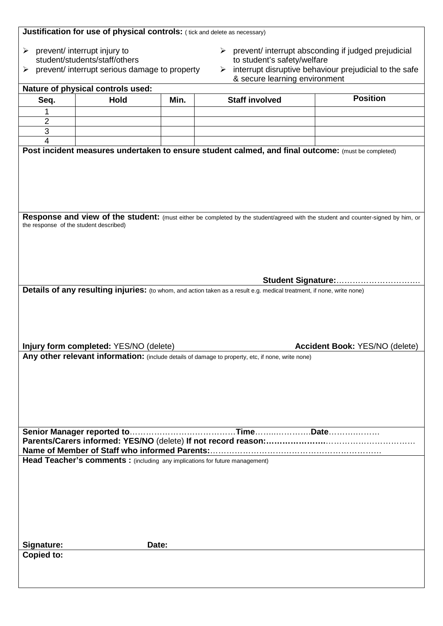| Justification for use of physical controls: (tick and delete as necessary)  |                                                  |      |                                                                                                                                  |                                                                      |
|-----------------------------------------------------------------------------|--------------------------------------------------|------|----------------------------------------------------------------------------------------------------------------------------------|----------------------------------------------------------------------|
| ➤                                                                           | prevent/ interrupt injury to                     |      |                                                                                                                                  | $\triangleright$ prevent/ interrupt absconding if judged prejudicial |
|                                                                             | student/students/staff/others                    |      | to student's safety/welfare                                                                                                      |                                                                      |
| ⋗                                                                           | prevent/ interrupt serious damage to property    |      | ≻                                                                                                                                | interrupt disruptive behaviour prejudicial to the safe               |
|                                                                             |                                                  |      | & secure learning environment                                                                                                    |                                                                      |
| Seq.                                                                        | Nature of physical controls used:<br><b>Hold</b> | Min. | <b>Staff involved</b>                                                                                                            | <b>Position</b>                                                      |
|                                                                             |                                                  |      |                                                                                                                                  |                                                                      |
| 2                                                                           |                                                  |      |                                                                                                                                  |                                                                      |
| 3                                                                           |                                                  |      |                                                                                                                                  |                                                                      |
| 4                                                                           |                                                  |      |                                                                                                                                  |                                                                      |
|                                                                             |                                                  |      | Post incident measures undertaken to ensure student calmed, and final outcome: (must be completed)                               |                                                                      |
|                                                                             |                                                  |      |                                                                                                                                  |                                                                      |
|                                                                             |                                                  |      |                                                                                                                                  |                                                                      |
|                                                                             |                                                  |      |                                                                                                                                  |                                                                      |
|                                                                             |                                                  |      |                                                                                                                                  |                                                                      |
|                                                                             |                                                  |      |                                                                                                                                  |                                                                      |
|                                                                             |                                                  |      | Response and view of the student: (must either be completed by the student/agreed with the student and counter-signed by him, or |                                                                      |
| the response of the student described)                                      |                                                  |      |                                                                                                                                  |                                                                      |
|                                                                             |                                                  |      |                                                                                                                                  |                                                                      |
|                                                                             |                                                  |      |                                                                                                                                  |                                                                      |
|                                                                             |                                                  |      |                                                                                                                                  |                                                                      |
|                                                                             |                                                  |      |                                                                                                                                  |                                                                      |
|                                                                             |                                                  |      |                                                                                                                                  | Student Signature:                                                   |
|                                                                             |                                                  |      | Details of any resulting injuries: (to whom, and action taken as a result e.g. medical treatment, if none, write none)           |                                                                      |
|                                                                             |                                                  |      |                                                                                                                                  |                                                                      |
|                                                                             |                                                  |      |                                                                                                                                  |                                                                      |
|                                                                             |                                                  |      |                                                                                                                                  |                                                                      |
|                                                                             |                                                  |      |                                                                                                                                  |                                                                      |
|                                                                             | Injury form completed: YES/NO (delete)           |      |                                                                                                                                  | Accident Book: YES/NO (delete)                                       |
|                                                                             |                                                  |      | Any other relevant information: (include details of damage to property, etc, if none, write none)                                |                                                                      |
|                                                                             |                                                  |      |                                                                                                                                  |                                                                      |
|                                                                             |                                                  |      |                                                                                                                                  |                                                                      |
|                                                                             |                                                  |      |                                                                                                                                  |                                                                      |
|                                                                             |                                                  |      |                                                                                                                                  |                                                                      |
|                                                                             |                                                  |      |                                                                                                                                  |                                                                      |
|                                                                             |                                                  |      |                                                                                                                                  |                                                                      |
|                                                                             |                                                  |      |                                                                                                                                  |                                                                      |
|                                                                             |                                                  |      |                                                                                                                                  |                                                                      |
| Head Teacher's comments: (including any implications for future management) |                                                  |      |                                                                                                                                  |                                                                      |
|                                                                             |                                                  |      |                                                                                                                                  |                                                                      |
|                                                                             |                                                  |      |                                                                                                                                  |                                                                      |
|                                                                             |                                                  |      |                                                                                                                                  |                                                                      |
|                                                                             |                                                  |      |                                                                                                                                  |                                                                      |
|                                                                             |                                                  |      |                                                                                                                                  |                                                                      |
|                                                                             |                                                  |      |                                                                                                                                  |                                                                      |
|                                                                             |                                                  |      |                                                                                                                                  |                                                                      |
| Signature:<br>Copied to:                                                    | Date:                                            |      |                                                                                                                                  |                                                                      |
|                                                                             |                                                  |      |                                                                                                                                  |                                                                      |
|                                                                             |                                                  |      |                                                                                                                                  |                                                                      |
|                                                                             |                                                  |      |                                                                                                                                  |                                                                      |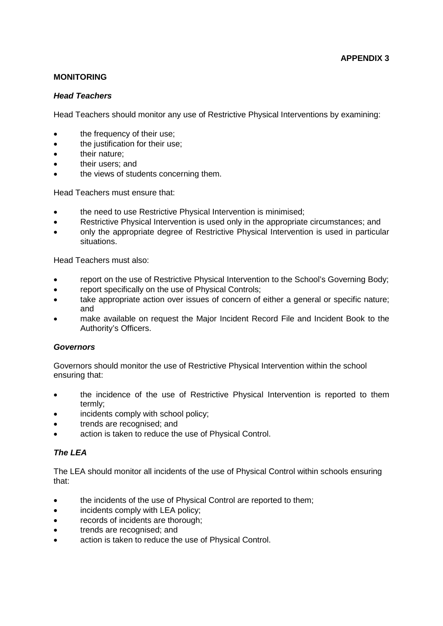# **MONITORING**

## *Head Teachers*

Head Teachers should monitor any use of Restrictive Physical Interventions by examining:

- the frequency of their use;
- the justification for their use:
- their nature:
- their users; and
- the views of students concerning them.

Head Teachers must ensure that:

- the need to use Restrictive Physical Intervention is minimised;
- Restrictive Physical Intervention is used only in the appropriate circumstances; and
- only the appropriate degree of Restrictive Physical Intervention is used in particular situations.

Head Teachers must also:

- report on the use of Restrictive Physical Intervention to the School's Governing Body;
- report specifically on the use of Physical Controls:
- take appropriate action over issues of concern of either a general or specific nature; and
- make available on request the Major Incident Record File and Incident Book to the Authority's Officers.

# *Governors*

Governors should monitor the use of Restrictive Physical Intervention within the school ensuring that:

- the incidence of the use of Restrictive Physical Intervention is reported to them termly;
- incidents comply with school policy;
- trends are recognised; and
- action is taken to reduce the use of Physical Control.

# *The LEA*

The LEA should monitor all incidents of the use of Physical Control within schools ensuring that:

- the incidents of the use of Physical Control are reported to them;
- incidents comply with LEA policy:
- records of incidents are thorough;
- trends are recognised; and
- action is taken to reduce the use of Physical Control.